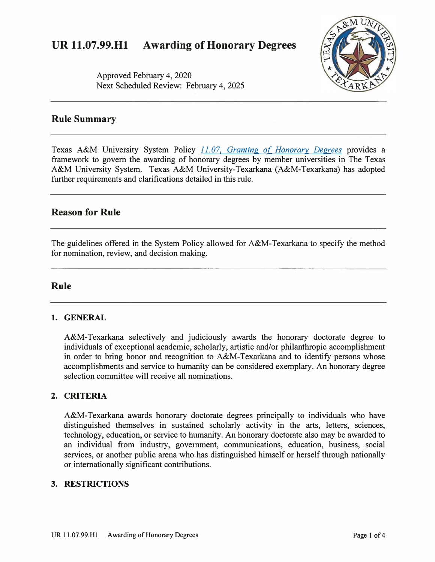# **UR 11.07.99.Hl Awarding of Honorary Degrees**



Approved February 4, 2020 Next Scheduled Review: February 4, 2025

## **Rule Summary**

Texas A&M University System Policy *[11. 07, Granting of Honorary Degrees](http://policies.tamus.edu/11-07.pdf)* provides a framework to govern the awarding of honorary degrees by member universities in The Texas A&M University System. Texas A&M University-Texarkana (A&M-Texarkana) has adopted further requirements and clarifications detailed in this rule.

## **Reason for Rule**

The guidelines offered in the System Policy allowed for A&M-Texarkana to specify the method for nomination, review, and decision making.

## **Rule**

#### **1. GENERAL**

A&M-Texarkana selectively and judiciously awards the honorary doctorate degree to individuals of exceptional academic, scholarly, artistic and/or philanthropic accomplishment in order to bring honor and recognition to A&M-Texarkana and to identify persons whose accomplishments and service to humanity can be considered exemplary. An honorary degree selection committee will receive all nominations.

### **2. CRITERIA**

A&M-Texarkana awards honorary doctorate degrees principally to individuals who have distinguished themselves in sustained scholarly activity in the arts, letters, sciences, technology, education, or service to humanity. An honorary doctorate also may be awarded to an individual from industry, government, communications, education, business, social services, or another public arena who has distinguished himself or herself through nationally or internationally significant contributions.

#### **3. RESTRICTIONS**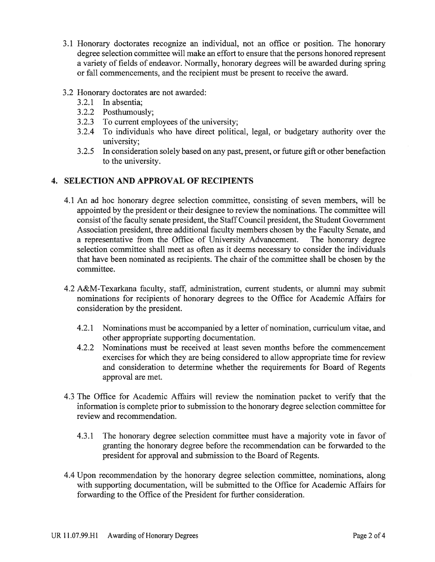- 3.1 Honorary doctorates recognize an individual, not an office or position. The honorary degree selection committee will make an effort to ensure that the persons honored represent a variety of fields of endeavor. Normally, honorary degrees will be awarded during spring or fall commencements, and the recipient must be present to receive the award.
- 3.2 Honorary doctorates are not awarded:
	- 3.2.1 In absentia;
	- 3.2.2 Posthumously;
	- 3.2.3 To current employees of the university;
	- 3.2.4 To individuals who have direct political, legal, or budgetary authority over the university:
	- 3.2.5 In consideration solely based on any past, present, or future gift or other benefaction to the university.

## 4. SELECTION AND APPROVAL OF RECIPIENTS

- 4.1 An ad hoc honorary degree selection committee, consisting of seven members, will be appointed by the president or their designee to review the nominations. The committee will consist of the faculty senate president, the Staff Council president, the Student Government Association president, three additional faculty members chosen by the Faculty Senate, and a representative from the Office of University Advancement. The honorary degree selection committee shall meet as often as it deems necessary to consider the individuals that have been nominated as recipients. The chair of the committee shall be chosen by the committee.
- 4.2 A&M-Texarkana faculty, staff, administration, current students, or alumni may submit nominations for recipients of honorary degrees to the Office for Academic Affairs for consideration by the president.
	- Nominations must be accompanied by a letter of nomination, curriculum vitae, and  $4.2.1$ other appropriate supporting documentation.
	- Nominations must be received at least seven months before the commencement  $4.2.2$ exercises for which they are being considered to allow appropriate time for review and consideration to determine whether the requirements for Board of Regents approval are met.
- 4.3 The Office for Academic Affairs will review the nomination packet to verify that the information is complete prior to submission to the honorary degree selection committee for review and recommendation.
	- $4.3.1$ The honorary degree selection committee must have a majority vote in favor of granting the honorary degree before the recommendation can be forwarded to the president for approval and submission to the Board of Regents.
- 4.4 Upon recommendation by the honorary degree selection committee, nominations, along with supporting documentation, will be submitted to the Office for Academic Affairs for forwarding to the Office of the President for further consideration.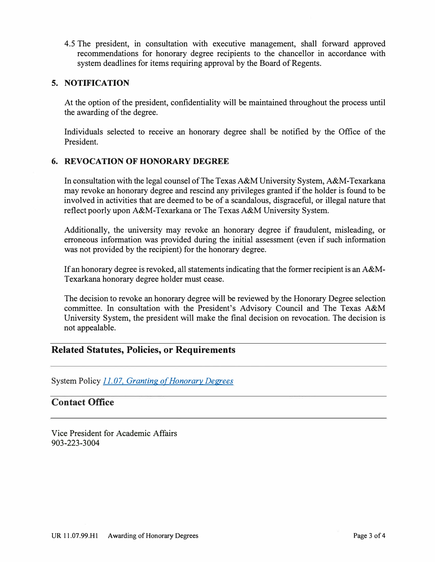4.5 The president, in consultation with executive management, shall forward approved recommendations for honorary degree recipients to the chancellor in accordance with system deadlines for items requiring approval by the Board of Regents.

#### **5. NOTIFICATION**

At the option of the president, confidentiality will be maintained throughout the process until the awarding of the degree.

Individuals selected to receive an honorary degree shall be notified by the Office of the President.

### **6. REVOCATION OF HONORARY DEGREE**

In consultation with the legal counsel of The Texas A&M University System, A&M-Texarkana may revoke an honorary degree and rescind any privileges granted if the holder is found to be involved in activities that are deemed to be of a scandalous, disgraceful, or illegal nature that reflect poorly upon A&M-Texarkana or The Texas A&M University System.

Additionally, the university may revoke an honorary degree if fraudulent, misleading, or erroneous information was provided during the initial assessment ( even if such information was not provided by the recipient) for the honorary degree.

If an honorary degree is revoked, all statements indicating that the former recipient is an A&M-Texarkana honorary degree holder must cease.

The decision to revoke an honorary degree will be reviewed by the Honorary Degree selection committee. In consultation with the President's Advisory Council and The Texas A&M University System, the president will make the final decision on revocation. The decision is not appealable.

## **Related Statutes, Policies, or Requirements**

System Policy *[11. 07, Granting o{Honorarv Degrees](http://policies.tamus.edu/11-07.pdf)* 

# **Contact Office**

Vice President for Academic Affairs 903-223-3004